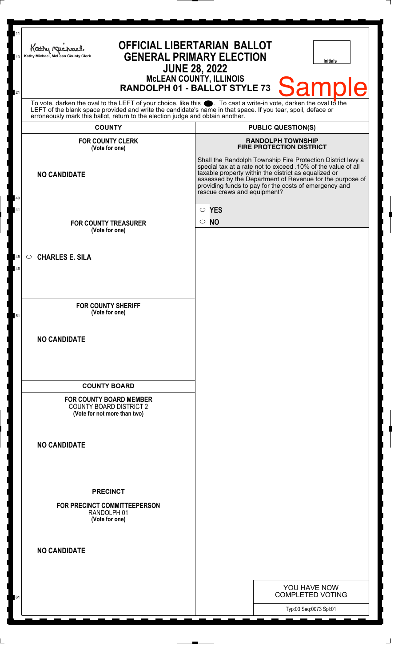| 11<br>13 | <b>OFFICIAL LIBERTARIAN BALLOT</b><br>Kathy Machael<br><b>GENERAL PRIMARY ELECTION</b><br>Kathy Michael, McLean County Clerk<br><b>Initials</b><br><b>JUNE 28, 2022</b>                                                                                                                                                      |                                                                                                                                                                                                                                                                                                                                         |
|----------|------------------------------------------------------------------------------------------------------------------------------------------------------------------------------------------------------------------------------------------------------------------------------------------------------------------------------|-----------------------------------------------------------------------------------------------------------------------------------------------------------------------------------------------------------------------------------------------------------------------------------------------------------------------------------------|
| 21       | <b>MCLEAN COUNTY, ILLINOIS</b><br><b>Sample</b><br>RANDOLPH 01 - BALLOT STYLE 73                                                                                                                                                                                                                                             |                                                                                                                                                                                                                                                                                                                                         |
|          | To vote, darken the oval to the LEFT of your choice, like this $\bullet$ . To cast a write-in vote, darken the oval to the<br>LEFT of the blank space provided and write the candidate's name in that space. If you tear, spoil, deface or<br>erroneously mark this ballot, return to the election judge and obtain another. |                                                                                                                                                                                                                                                                                                                                         |
|          | <b>COUNTY</b>                                                                                                                                                                                                                                                                                                                | <b>PUBLIC QUESTION(S)</b>                                                                                                                                                                                                                                                                                                               |
|          | <b>FOR COUNTY CLERK</b><br>(Vote for one)                                                                                                                                                                                                                                                                                    | <b>RANDOLPH TOWNSHIP</b><br><b>FIRE PROTECTION DISTRICT</b>                                                                                                                                                                                                                                                                             |
| 40       | <b>NO CANDIDATE</b>                                                                                                                                                                                                                                                                                                          | Shall the Randolph Township Fire Protection District levy a<br>special tax at a rate not to exceed .10% of the value of all<br>taxable property within the district as equalized or<br>assessed by the Department of Revenue for the purpose of<br>providing funds to pay for the costs of emergency and<br>rescue crews and equipment? |
| 41       |                                                                                                                                                                                                                                                                                                                              | $\circ$ YES                                                                                                                                                                                                                                                                                                                             |
|          | <b>FOR COUNTY TREASURER</b>                                                                                                                                                                                                                                                                                                  | $\circ$ NO                                                                                                                                                                                                                                                                                                                              |
|          | (Vote for one)                                                                                                                                                                                                                                                                                                               |                                                                                                                                                                                                                                                                                                                                         |
| 45<br>46 | <b>CHARLES E. SILA</b><br>$\circ$                                                                                                                                                                                                                                                                                            |                                                                                                                                                                                                                                                                                                                                         |
| 51       | <b>FOR COUNTY SHERIFF</b><br>(Vote for one)                                                                                                                                                                                                                                                                                  |                                                                                                                                                                                                                                                                                                                                         |
|          | <b>NO CANDIDATE</b>                                                                                                                                                                                                                                                                                                          |                                                                                                                                                                                                                                                                                                                                         |
|          |                                                                                                                                                                                                                                                                                                                              |                                                                                                                                                                                                                                                                                                                                         |
|          | <b>COUNTY BOARD</b><br><b>FOR COUNTY BOARD MEMBER</b><br><b>COUNTY BOARD DISTRICT 2</b><br>(Vote for not more than two)                                                                                                                                                                                                      |                                                                                                                                                                                                                                                                                                                                         |
|          | <b>NO CANDIDATE</b>                                                                                                                                                                                                                                                                                                          |                                                                                                                                                                                                                                                                                                                                         |
|          |                                                                                                                                                                                                                                                                                                                              |                                                                                                                                                                                                                                                                                                                                         |
|          | <b>PRECINCT</b><br>FOR PRECINCT COMMITTEEPERSON<br>RANDOLPH 01<br>(Vote for one)                                                                                                                                                                                                                                             |                                                                                                                                                                                                                                                                                                                                         |
|          | <b>NO CANDIDATE</b>                                                                                                                                                                                                                                                                                                          |                                                                                                                                                                                                                                                                                                                                         |
|          |                                                                                                                                                                                                                                                                                                                              | YOU HAVE NOW                                                                                                                                                                                                                                                                                                                            |
| 61       |                                                                                                                                                                                                                                                                                                                              | <b>COMPLETED VOTING</b>                                                                                                                                                                                                                                                                                                                 |
|          |                                                                                                                                                                                                                                                                                                                              | Typ:03 Seq:0073 Spl:01                                                                                                                                                                                                                                                                                                                  |

 $\perp$